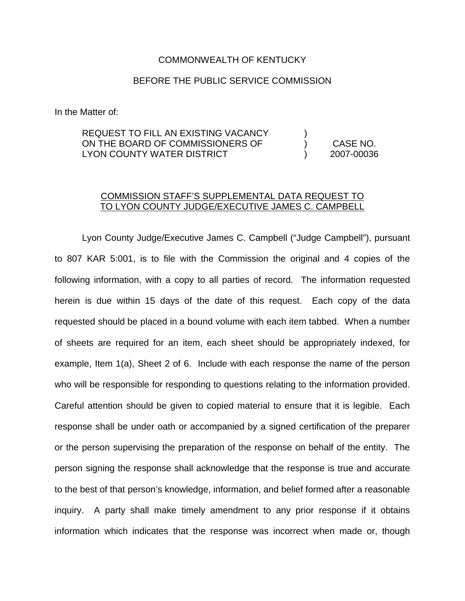## COMMONWEALTH OF KENTUCKY

## BEFORE THE PUBLIC SERVICE COMMISSION

In the Matter of:

## REQUEST TO FILL AN EXISTING VACANCY ON THE BOARD OF COMMISSIONERS OF LYON COUNTY WATER DISTRICT ) ) CASE NO. ) 2007-00036

## COMMISSION STAFF'S SUPPLEMENTAL DATA REQUEST TO TO LYON COUNTY JUDGE/EXECUTIVE JAMES C. CAMPBELL

Lyon County Judge/Executive James C. Campbell ("Judge Campbell"), pursuant to 807 KAR 5:001, is to file with the Commission the original and 4 copies of the following information, with a copy to all parties of record. The information requested herein is due within 15 days of the date of this request. Each copy of the data requested should be placed in a bound volume with each item tabbed. When a number of sheets are required for an item, each sheet should be appropriately indexed, for example, Item 1(a), Sheet 2 of 6. Include with each response the name of the person who will be responsible for responding to questions relating to the information provided. Careful attention should be given to copied material to ensure that it is legible. Each response shall be under oath or accompanied by a signed certification of the preparer or the person supervising the preparation of the response on behalf of the entity. The person signing the response shall acknowledge that the response is true and accurate to the best of that person's knowledge, information, and belief formed after a reasonable inquiry. A party shall make timely amendment to any prior response if it obtains information which indicates that the response was incorrect when made or, though